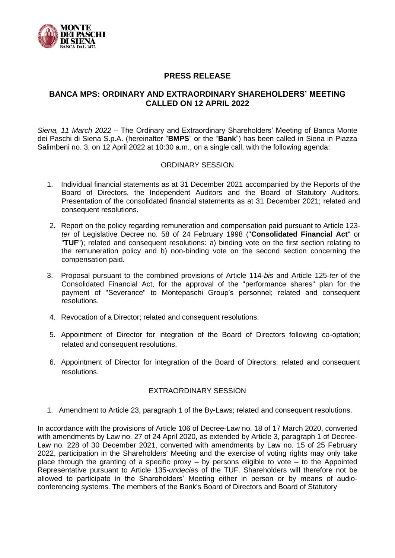

## **PRESS RELEASE**

## **BANCA MPS: ORDINARY AND EXTRAORDINARY SHAREHOLDERS' MEETING CALLED ON 12 APRIL 2022**

*Siena, 11 March 2022 –* The Ordinary and Extraordinary Shareholders' Meeting of Banca Monte dei Paschi di Siena S.p.A. (hereinafter "**BMPS**" or the "**Bank**") has been called in Siena in Piazza Salimbeni no. 3, on 12 April 2022 at 10:30 a.m., on a single call, with the following agenda:

## ORDINARY SESSION

- 1. Individual financial statements as at 31 December 2021 accompanied by the Reports of the Board of Directors, the Independent Auditors and the Board of Statutory Auditors. Presentation of the consolidated financial statements as at 31 December 2021; related and consequent resolutions.
- 2. Report on the policy regarding remuneration and compensation paid pursuant to Article 123 *ter* of Legislative Decree no. 58 of 24 February 1998 ("**Consolidated Financial Act**" or "**TUF**"); related and consequent resolutions: a) binding vote on the first section relating to the remuneration policy and b) non-binding vote on the second section concerning the compensation paid.
- 3. Proposal pursuant to the combined provisions of Article 114-*bis* and Article 125-*ter* of the Consolidated Financial Act, for the approval of the "performance shares" plan for the payment of "Severance" to Montepaschi Group's personnel; related and consequent resolutions.
- 4. Revocation of a Director; related and consequent resolutions.
- 5. Appointment of Director for integration of the Board of Directors following co-optation; related and consequent resolutions.
- 6. Appointment of Director for integration of the Board of Directors; related and consequent resolutions.

## EXTRAORDINARY SESSION

1. Amendment to Article 23, paragraph 1 of the By-Laws; related and consequent resolutions.

In accordance with the provisions of Article 106 of Decree-Law no. 18 of 17 March 2020, converted with amendments by Law no. 27 of 24 April 2020, as extended by Article 3, paragraph 1 of Decree-Law no. 228 of 30 December 2021, converted with amendments by Law no. 15 of 25 February 2022, participation in the Shareholders' Meeting and the exercise of voting rights may only take place through the granting of a specific proxy – by persons eligible to vote – to the Appointed Representative pursuant to Article 135-*undecies* of the TUF. Shareholders will therefore not be allowed to participate in the Shareholders' Meeting either in person or by means of audioconferencing systems. The members of the Bank's Board of Directors and Board of Statutory